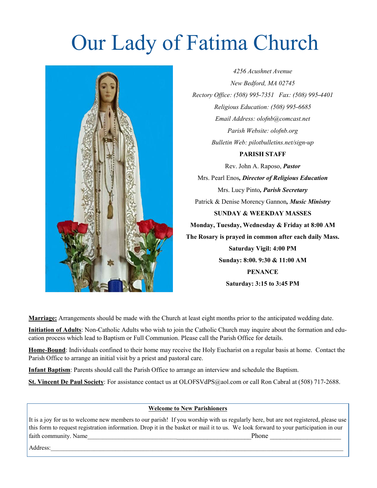# Our Lady of Fatima Church



*4256 Acushnet Avenue New Bedford, MA 02745 Rectory Office: (508) 995-7351 Fax: (508) 995-4401 Religious Education: (508) 995-6685 Email Address: olofnb@comcast.net Parish Website: olofnb.org Bulletin Web: pilotbulletins.net/sign-up*

#### **PARISH STAFF**

Rev. John A. Raposo, *Pastor* Mrs. Pearl Enos*, Director of Religious Education* Mrs. Lucy Pinto*, Parish Secretary* Patrick & Denise Morency Gannon*, Music Ministry* **SUNDAY & WEEKDAY MASSES Monday, Tuesday, Wednesday & Friday at 8:00 AM The Rosary is prayed in common after each daily Mass. Saturday Vigil: 4:00 PM Sunday: 8:00. 9:30 & 11:00 AM PENANCE Saturday: 3:15 to 3:45 PM**

**Marriage:** Arrangements should be made with the Church at least eight months prior to the anticipated wedding date.

**Initiation of Adults**: Non-Catholic Adults who wish to join the Catholic Church may inquire about the formation and education process which lead to Baptism or Full Communion. Please call the Parish Office for details.

**Home-Bound**: Individuals confined to their home may receive the Holy Eucharist on a regular basis at home. Contact the Parish Office to arrange an initial visit by a priest and pastoral care.

**Infant Baptism**: Parents should call the Parish Office to arrange an interview and schedule the Baptism.

**St. Vincent De Paul Society**: For assistance contact us at OLOFSVdPS@aol.com or call Ron Cabral at (508) 717-2688.

#### **Welcome to New Parishioners**

It is a joy for us to welcome new members to our parish! If you worship with us regularly here, but are not registered, please use this form to request registration information. Drop it in the basket or mail it to us. We look forward to your participation in our faith community. Name **the example of the example of the example of the example of the example of the example of the example of the example of the example of the example of the example of the example of the example of the** 

 $\operatorname{Address:}\_$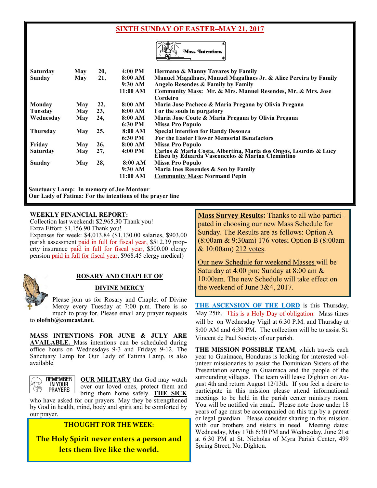#### **SIXTH SUNDAY OF EASTER–MAY 21, 2017**



| <b>Saturday</b> | May        | 20, | 4:00 PM  | <b>Hermano &amp; Manny Tavares by Family</b>                                                                          |
|-----------------|------------|-----|----------|-----------------------------------------------------------------------------------------------------------------------|
| Sunday          | May        | 21, | 8:00 AM  | Manuel Magalhaes, Manuel Magalhaes Jr. & Alice Pereira by Family                                                      |
|                 |            |     | 9:30 AM  | Angelo Resendes & Family by Family                                                                                    |
|                 |            |     | 11:00 AM | Community Mass: Mr. & Mrs. Manuel Resendes, Mr. & Mrs. Jose<br>Cordeiro                                               |
| Monday          | May        | 22, | 8:00 AM  | Maria Jose Pacheco & Maria Pregana by Olivia Pregana                                                                  |
| Tuesday         | May        | 23, | 8:00 AM  | For the souls in purgatory                                                                                            |
| Wednesday       | May        | 24, | 8:00 AM  | Maria Jose Coute & Maria Pregana by Olivia Pregana                                                                    |
|                 |            |     | 6:30 PM  | <b>Missa Pro Populo</b>                                                                                               |
| <b>Thursday</b> | May        | 25, | 8:00 AM  | <b>Special intention for Randy Desouza</b>                                                                            |
|                 |            |     | 6:30 PM  | <b>For the Easter Flower Memorial Benafactors</b>                                                                     |
| Friday          | May        | 26, | 8:00 AM  | <b>Missa Pro Populo</b>                                                                                               |
| <b>Saturday</b> | <b>May</b> | 27, | 4:00 PM  | Carlos & Maria Costa, Albertina, Maria dos Ongos, Lourdes & Lucy<br>Eliseu by Eduarda Vasconcelos & Marina Clemintino |
| Sunday          | May        | 28, | 8:00 AM  | <b>Missa Pro Populo</b>                                                                                               |
|                 |            |     | 9:30 AM  | Maria Ines Resendes & Son by Family                                                                                   |
|                 |            |     | 11:00 AM | <b>Community Mass: Normand Pepin</b>                                                                                  |

**Sanctuary Lamp: In memory of Joe Montour Our Lady of Fatima: For the intentions of the prayer line**

#### **WEEKLY FINANCIAL REPORT:**

Collection last weekend**:** \$2,965.30 Thank you! Extra Effort: \$1,156.90 Thank you! Expenses for week: \$4,013.84 (\$1,130.00 salaries, \$903.00 parish assessment paid in full for fiscal year, \$512.39 property insurance paid in full for fiscal year, \$500.00 clergy pension paid in full for fiscal year, \$968.45 clergy medical)



#### **ROSARY AND CHAPLET OF**

#### **DIVINE MERCY**

Please join us for Rosary and Chaplet of Divine Mercy every Tuesday at 7:00 p.m. There is so much to pray for. Please email any prayer requests to **olofnb@comcast.net**.

**MASS INTENTIONS FOR JUNE & JULY ARE** 

**AVAILABLE.** Mass intentions can be scheduled during office hours on Wednesdays 9-3 and Fridays 9-12. The Sanctuary Lamp for Our Lady of Fatima Lamp, is also available.

**OUR MILITARY** that God may watch over our loved ones, protect them and bring them home safely. **THE SICK**

who have asked for our prayers. May they be strengthened by God in health, mind, body and spirit and be comforted by our prayer.

#### **THOUGHT FOR THE WEEK:**

**The Holy Spirit never enters a person and lets them live like the world.** 

**Mass Survey Results:** Thanks to all who participated in choosing our new Mass Schedule for Sunday. The Results are as follows: Option A (8:00am & 9:30am) 176 votes; Option B (8:00am & 10:00am) 212 votes.

Our new Schedule for weekend Masses will be Saturday at 4:00 pm; Sunday at 8:00 am & 10:00am. The new Schedule will take effect on the weekend of June  $3&4, 2017$ .

**THE ASCENSION OF THE LORD** is this Thursday, May 25th. This is a Holy Day of obligation. Mass times will be on Wednesday Vigil at 6:30 P.M. and Thursday at 8:00 AM and 6:30 PM. The collection will be to assist St. Vincent de Paul Society of our parish.

**THE MISSION POSSIBLE TEAM**, which travels each year to Guaimaca, Honduras is looking for interested volunteer missionaries to assist the Dominican Sisters of the Presentation serving in Guaimaca and the people of the surrounding villages. The team will leave Dighton on August 4th and return August 12/13th. If you feel a desire to participate in this mission please attend informational meetings to be held in the parish center ministry room. You will be notified via email. Please note those under 18 years of age must be accompanied on this trip by a parent or legal guardian. Please consider sharing in this mission with our brothers and sisters in need. Meeting dates: Wednesday, May 17th 6:30 PM and Wednesday, June 21st at 6:30 PM at St. Nicholas of Myra Parish Center, 499 Spring Street, No. Dighton.